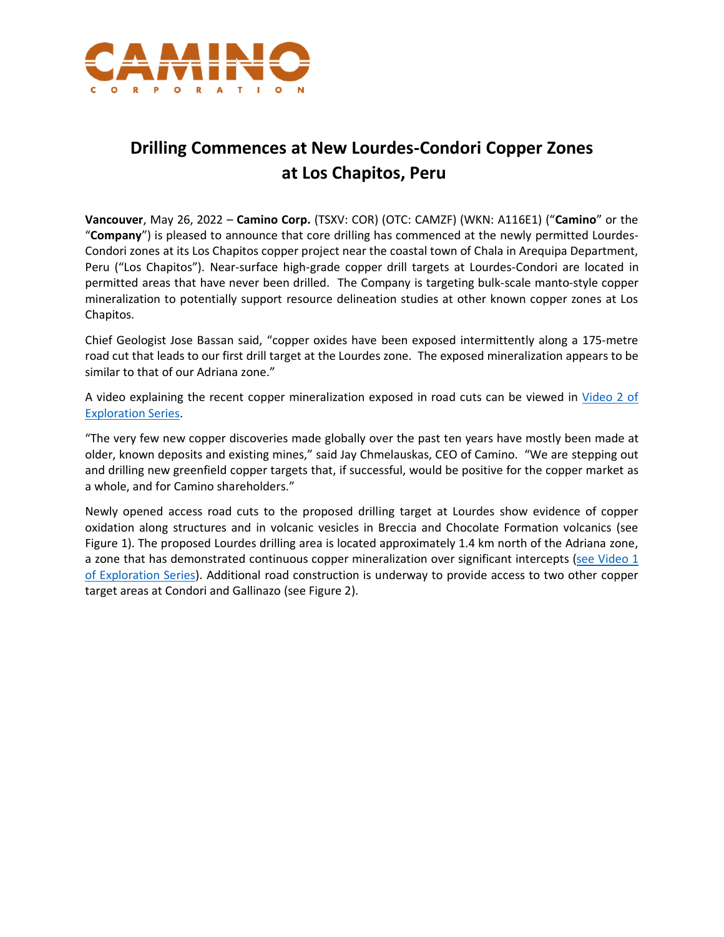

## **Drilling Commences at New Lourdes-Condori Copper Zones at Los Chapitos, Peru**

**Vancouver**, May 26, 2022 – **Camino Corp.** (TSXV: COR) (OTC: CAMZF) (WKN: A116E1) ("**Camino**" or the "**Company**") is pleased to announce that core drilling has commenced at the newly permitted Lourdes-Condori zones at its Los Chapitos copper project near the coastal town of Chala in Arequipa Department, Peru ("Los Chapitos"). Near-surface high-grade copper drill targets at Lourdes-Condori are located in permitted areas that have never been drilled. The Company is targeting bulk-scale manto-style copper mineralization to potentially support resource delineation studies at other known copper zones at Los Chapitos.

Chief Geologist Jose Bassan said, "copper oxides have been exposed intermittently along a 175-metre road cut that leads to our first drill target at the Lourdes zone. The exposed mineralization appears to be similar to that of our Adriana zone."

A video explaining the recent copper mineralization exposed in road cuts can be viewed in [Video](https://youtu.be/swS6-CS5bhc) 2 of [Exploration Series.](https://youtu.be/swS6-CS5bhc)

"The very few new copper discoveries made globally over the past ten years have mostly been made at older, known deposits and existing mines," said Jay Chmelauskas, CEO of Camino. "We are stepping out and drilling new greenfield copper targets that, if successful, would be positive for the copper market as a whole, and for Camino shareholders."

Newly opened access road cuts to the proposed drilling target at Lourdes show evidence of copper oxidation along structures and in volcanic vesicles in Breccia and Chocolate Formation volcanics (see Figure 1). The proposed Lourdes drilling area is located approximately 1.4 km north of the Adriana zone, a zone that has demonstrated continuous copper mineralization over significant intercepts (see Video 1 [of Exploration Series\)](https://youtu.be/YTxWXpvWQ3M). Additional road construction is underway to provide access to two other copper target areas at Condori and Gallinazo (see Figure 2).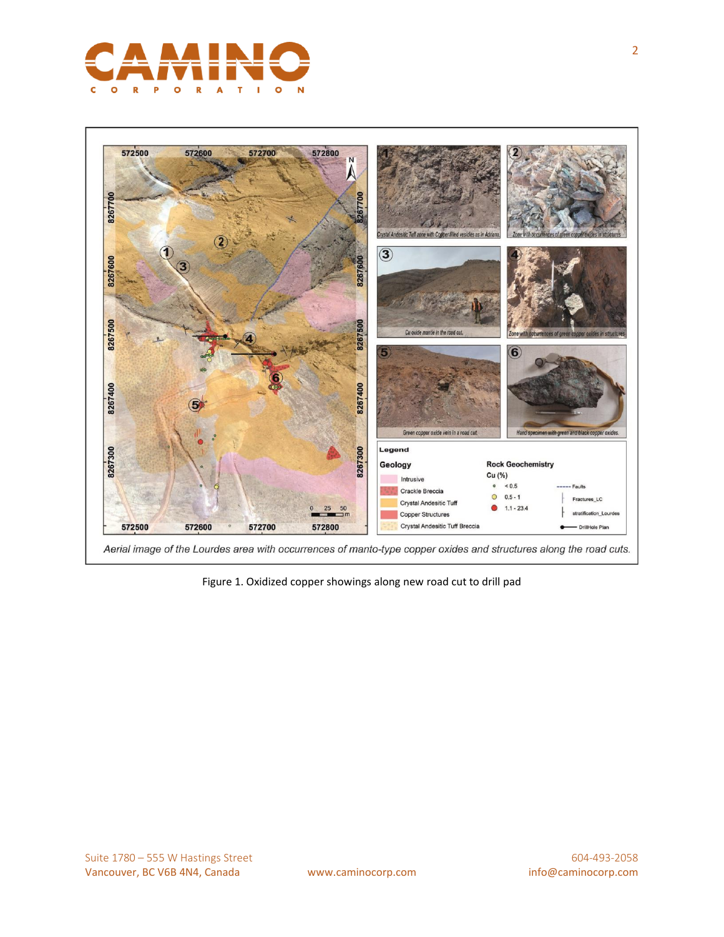



Aerial image of the Lourdes area with occurrences of manto-type copper oxides and structures along the road cuts.

Figure 1. Oxidized copper showings along new road cut to drill pad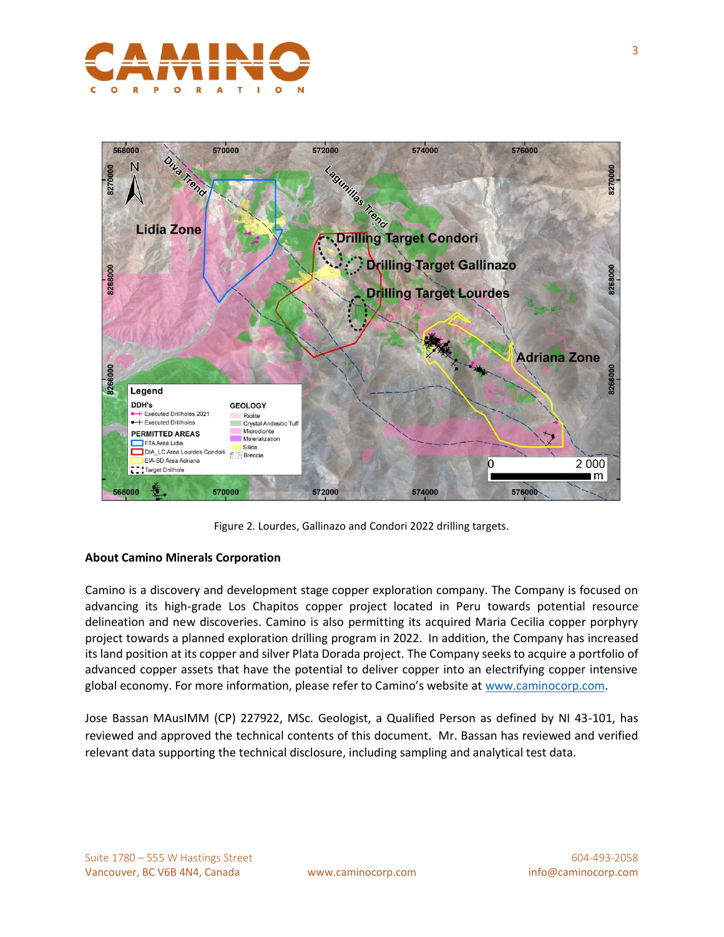



Figure 2. Lourdes, Gallinazo and Condori 2022 drilling targets.

## **About Camino Minerals Corporation**

Camino is a discovery and development stage copper exploration company. The Company is focused on advancing its high-grade Los Chapitos copper project located in Peru towards potential resource delineation and new discoveries. Camino is also permitting its acquired Maria Cecilia copper porphyry project towards a planned exploration drilling program in 2022. In addition, the Company has increased its land position at its copper and silver Plata Dorada project. The Company seeks to acquire a portfolio of advanced copper assets that have the potential to deliver copper into an electrifying copper intensive global economy. For more information, please refer to Camino's website at [www.caminocorp.com.](http://www.caminocorp.com/)

Jose Bassan MAusIMM (CP) 227922, MSc. Geologist, a Qualified Person as defined by NI 43-101, has reviewed and approved the technical contents of this document. Mr. Bassan has reviewed and verified relevant data supporting the technical disclosure, including sampling and analytical test data.